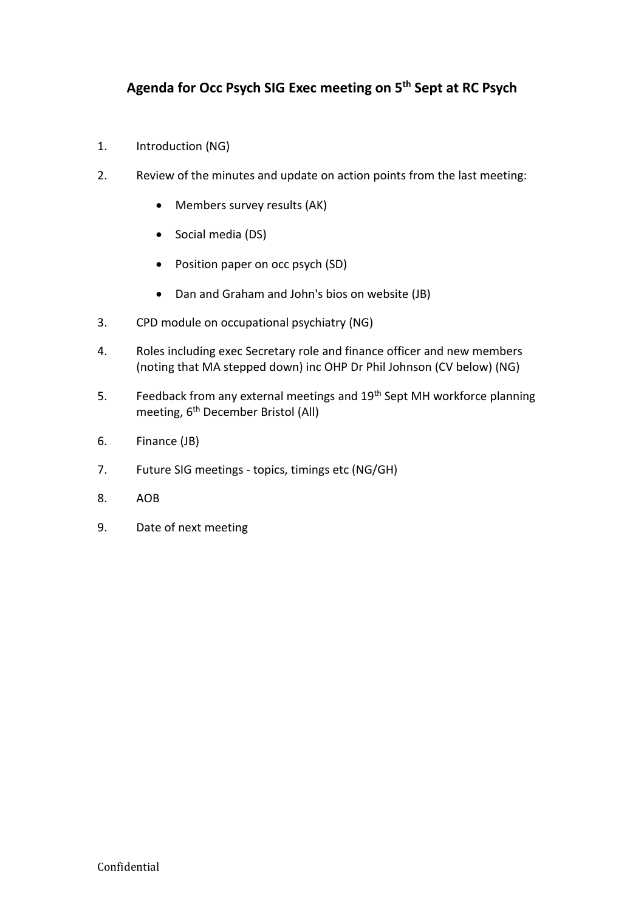- 1. Introduction (NG)
- 2. Review of the minutes and update on action points from the last meeting:
	- Members survey results (AK)
	- Social media (DS)
	- Position paper on occ psych (SD)
	- Dan and Graham and John's bios on website (JB)
- 3. CPD module on occupational psychiatry (NG)
- 4. Roles including exec Secretary role and finance officer and new members (noting that MA stepped down) inc OHP Dr Phil Johnson (CV below) (NG)
- 5. Feedback from any external meetings and 19<sup>th</sup> Sept MH workforce planning meeting, 6<sup>th</sup> December Bristol (All)
- 6. Finance (JB)
- 7. Future SIG meetings topics, timings etc (NG/GH)
- 8. AOB
- 9. Date of next meeting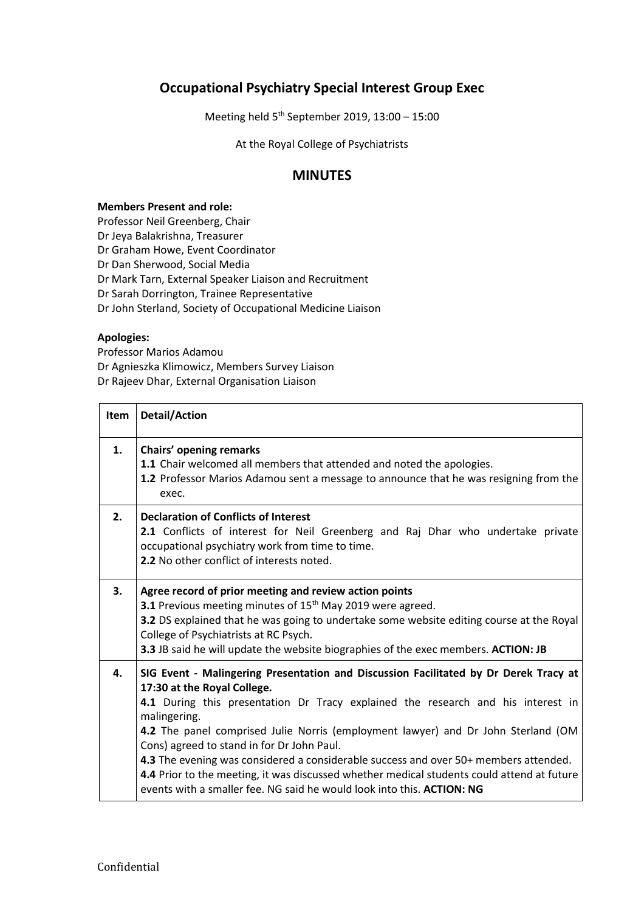## **Occupational Psychiatry Special Interest Group Exec**

Meeting held 5 th September 2019, 13:00 – 15:00

At the Royal College of Psychiatrists

## **MINUTES**

## **Members Present and role:**

Professor Neil Greenberg, Chair Dr Jeya Balakrishna, Treasurer Dr Graham Howe, Event Coordinator Dr Dan Sherwood, Social Media Dr Mark Tarn, External Speaker Liaison and Recruitment Dr Sarah Dorrington, Trainee Representative Dr John Sterland, Society of Occupational Medicine Liaison

## **Apologies:**

Ē

Professor Marios Adamou Dr Agnieszka Klimowicz, Members Survey Liaison Dr Rajeev Dhar, External Organisation Liaison

| Item | <b>Detail/Action</b>                                                                                                                                                                                                                                                                                                                                                                                                                                                                                                                                                                                                       |
|------|----------------------------------------------------------------------------------------------------------------------------------------------------------------------------------------------------------------------------------------------------------------------------------------------------------------------------------------------------------------------------------------------------------------------------------------------------------------------------------------------------------------------------------------------------------------------------------------------------------------------------|
| 1.   | Chairs' opening remarks<br>1.1 Chair welcomed all members that attended and noted the apologies.<br>1.2 Professor Marios Adamou sent a message to announce that he was resigning from the<br>exec.                                                                                                                                                                                                                                                                                                                                                                                                                         |
| 2.   | <b>Declaration of Conflicts of Interest</b><br>2.1 Conflicts of interest for Neil Greenberg and Raj Dhar who undertake private<br>occupational psychiatry work from time to time.<br>2.2 No other conflict of interests noted.                                                                                                                                                                                                                                                                                                                                                                                             |
| 3.   | Agree record of prior meeting and review action points<br>3.1 Previous meeting minutes of 15 <sup>th</sup> May 2019 were agreed.<br>3.2 DS explained that he was going to undertake some website editing course at the Royal<br>College of Psychiatrists at RC Psych.<br>3.3 JB said he will update the website biographies of the exec members. ACTION: JB                                                                                                                                                                                                                                                                |
| 4.   | SIG Event - Malingering Presentation and Discussion Facilitated by Dr Derek Tracy at<br>17:30 at the Royal College.<br>4.1 During this presentation Dr Tracy explained the research and his interest in<br>malingering.<br>4.2 The panel comprised Julie Norris (employment lawyer) and Dr John Sterland (OM<br>Cons) agreed to stand in for Dr John Paul.<br>4.3 The evening was considered a considerable success and over 50+ members attended.<br>4.4 Prior to the meeting, it was discussed whether medical students could attend at future<br>events with a smaller fee. NG said he would look into this. ACTION: NG |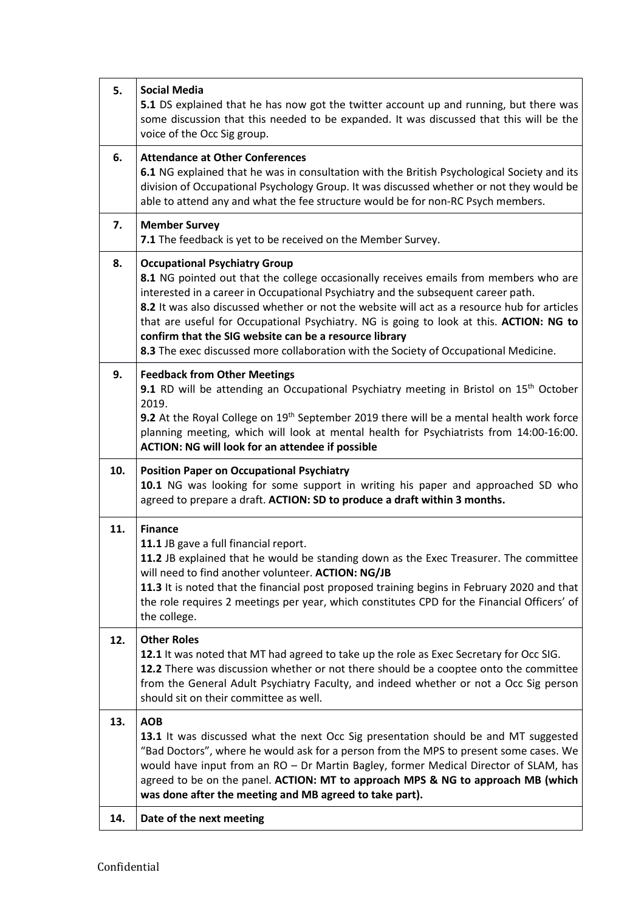| 5.  | <b>Social Media</b><br>5.1 DS explained that he has now got the twitter account up and running, but there was<br>some discussion that this needed to be expanded. It was discussed that this will be the<br>voice of the Occ Sig group.                                                                                                                                                                                                                                                                                                                         |
|-----|-----------------------------------------------------------------------------------------------------------------------------------------------------------------------------------------------------------------------------------------------------------------------------------------------------------------------------------------------------------------------------------------------------------------------------------------------------------------------------------------------------------------------------------------------------------------|
| 6.  | <b>Attendance at Other Conferences</b><br>6.1 NG explained that he was in consultation with the British Psychological Society and its<br>division of Occupational Psychology Group. It was discussed whether or not they would be<br>able to attend any and what the fee structure would be for non-RC Psych members.                                                                                                                                                                                                                                           |
| 7.  | <b>Member Survey</b><br>7.1 The feedback is yet to be received on the Member Survey.                                                                                                                                                                                                                                                                                                                                                                                                                                                                            |
| 8.  | <b>Occupational Psychiatry Group</b><br>8.1 NG pointed out that the college occasionally receives emails from members who are<br>interested in a career in Occupational Psychiatry and the subsequent career path.<br>8.2 It was also discussed whether or not the website will act as a resource hub for articles<br>that are useful for Occupational Psychiatry. NG is going to look at this. ACTION: NG to<br>confirm that the SIG website can be a resource library<br>8.3 The exec discussed more collaboration with the Society of Occupational Medicine. |
| 9.  | <b>Feedback from Other Meetings</b><br>9.1 RD will be attending an Occupational Psychiatry meeting in Bristol on 15 <sup>th</sup> October<br>2019.<br>9.2 At the Royal College on 19 <sup>th</sup> September 2019 there will be a mental health work force<br>planning meeting, which will look at mental health for Psychiatrists from 14:00-16:00.<br><b>ACTION: NG will look for an attendee if possible</b>                                                                                                                                                 |
| 10. | <b>Position Paper on Occupational Psychiatry</b><br>10.1 NG was looking for some support in writing his paper and approached SD who<br>agreed to prepare a draft. ACTION: SD to produce a draft within 3 months.                                                                                                                                                                                                                                                                                                                                                |
| 11. | <b>Finance</b><br>11.1 JB gave a full financial report.<br>11.2 JB explained that he would be standing down as the Exec Treasurer. The committee<br>will need to find another volunteer. ACTION: NG/JB<br>11.3 It is noted that the financial post proposed training begins in February 2020 and that<br>the role requires 2 meetings per year, which constitutes CPD for the Financial Officers' of<br>the college.                                                                                                                                            |
| 12. | <b>Other Roles</b><br>12.1 It was noted that MT had agreed to take up the role as Exec Secretary for Occ SIG.<br>12.2 There was discussion whether or not there should be a cooptee onto the committee<br>from the General Adult Psychiatry Faculty, and indeed whether or not a Occ Sig person<br>should sit on their committee as well.                                                                                                                                                                                                                       |
| 13. | <b>AOB</b><br>13.1 It was discussed what the next Occ Sig presentation should be and MT suggested<br>"Bad Doctors", where he would ask for a person from the MPS to present some cases. We<br>would have input from an RO - Dr Martin Bagley, former Medical Director of SLAM, has<br>agreed to be on the panel. ACTION: MT to approach MPS & NG to approach MB (which<br>was done after the meeting and MB agreed to take part).                                                                                                                               |
| 14. | Date of the next meeting                                                                                                                                                                                                                                                                                                                                                                                                                                                                                                                                        |